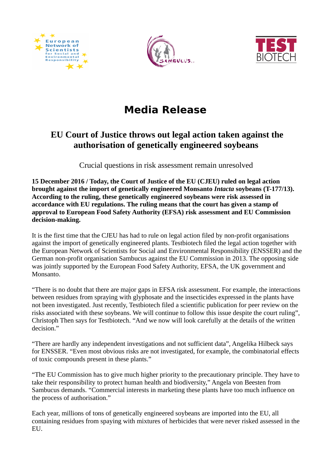





## **Media Release**

## **EU Court of Justice throws out legal action taken against the authorisation of genetically engineered soybeans**

Crucial questions in risk assessment remain unresolved

**15 December 2016 / Today, the Court of Justice of the EU (CJEU) ruled on legal action brought against the import of genetically engineered Monsanto** *Intacta* **soybeans (T-177/13). According to the ruling, these genetically engineered soybeans were risk assessed in accordance with EU regulations. The ruling means that the court has given a stamp of approval to European Food Safety Authority (EFSA) risk assessment and EU Commission decision-making.** 

It is the first time that the CJEU has had to rule on legal action filed by non-profit organisations against the import of genetically engineered plants. Testbiotech filed the legal action together with the European Network of Scientists for Social and Environmental Responsibility (ENSSER) and the German non-profit organisation Sambucus against the EU Commission in 2013. The opposing side was jointly supported by the European Food Safety Authority, EFSA, the UK government and Monsanto.

"There is no doubt that there are major gaps in EFSA risk assessment. For example, the interactions between residues from spraying with glyphosate and the insecticides expressed in the plants have not been investigated. Just recently, Testbiotech filed a scientific publication for peer review on the risks associated with these soybeans. We will continue to follow this issue despite the court ruling", Christoph Then says for Testbiotech. "And we now will look carefully at the details of the written decision."

"There are hardly any independent investigations and not sufficient data", Angelika Hilbeck says for ENSSER. "Even most obvious risks are not investigated, for example, the combinatorial effects of toxic compounds present in these plants."

"The EU Commission has to give much higher priority to the precautionary principle. They have to take their responsibility to protect human health and biodiversity," Angela von Beesten from Sambucus demands. "Commercial interests in marketing these plants have too much influence on the process of authorisation."

Each year, millions of tons of genetically engineered soybeans are imported into the EU, all containing residues from spaying with mixtures of herbicides that were never risked assessed in the EU.